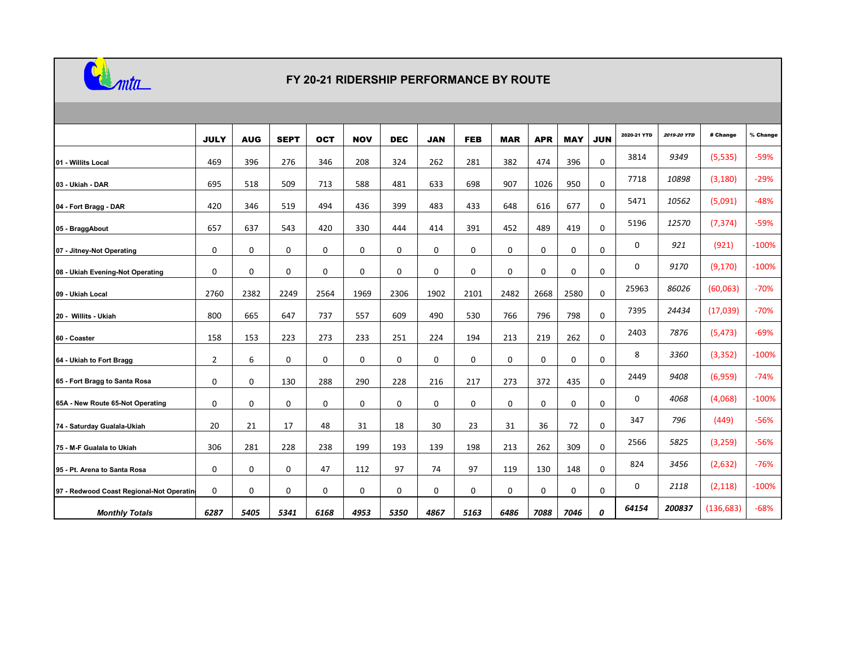

## **FY 20-21 RIDERSHIP PERFORMANCE BY ROUTE**

|                                           | <b>JULY</b>  | <b>AUG</b>  | <b>SEPT</b> | <b>OCT</b>  | <b>NOV</b>  | <b>DEC</b> | <b>JAN</b> | <b>FEB</b> | <b>MAR</b> | <b>APR</b>  | <b>MAY</b> | <b>JUN</b>  | 2020-21 YTD | 2019-20 YTD | # Change   | % Change |
|-------------------------------------------|--------------|-------------|-------------|-------------|-------------|------------|------------|------------|------------|-------------|------------|-------------|-------------|-------------|------------|----------|
| 01 - Willits Local                        | 469          | 396         | 276         | 346         | 208         | 324        | 262        | 281        | 382        | 474         | 396        | $\mathbf 0$ | 3814        | 9349        | (5,535)    | $-59%$   |
| 03 - Ukiah - DAR                          | 695          | 518         | 509         | 713         | 588         | 481        | 633        | 698        | 907        | 1026        | 950        | $\mathbf 0$ | 7718        | 10898       | (3, 180)   | $-29%$   |
| 04 - Fort Bragg - DAR                     | 420          | 346         | 519         | 494         | 436         | 399        | 483        | 433        | 648        | 616         | 677        | 0           | 5471        | 10562       | (5,091)    | $-48%$   |
| 05 - BraggAbout                           | 657          | 637         | 543         | 420         | 330         | 444        | 414        | 391        | 452        | 489         | 419        | $\mathbf 0$ | 5196        | 12570       | (7, 374)   | $-59%$   |
| 07 - Jitney-Not Operating                 | 0            | 0           | 0           | 0           | 0           | 0          | 0          | 0          | 0          | 0           | 0          | $\mathbf 0$ | 0           | 921         | (921)      | $-100%$  |
| 08 - Ukiah Evening-Not Operating          | 0            | $\mathbf 0$ | 0           | 0           | 0           | 0          | 0          | 0          | 0          | 0           | 0          | 0           | 0           | 9170        | (9, 170)   | $-100%$  |
| 09 - Ukiah Local                          | 2760         | 2382        | 2249        | 2564        | 1969        | 2306       | 1902       | 2101       | 2482       | 2668        | 2580       | $\mathbf 0$ | 25963       | 86026       | (60,063)   | $-70%$   |
| 20 - Willits - Ukiah                      | 800          | 665         | 647         | 737         | 557         | 609        | 490        | 530        | 766        | 796         | 798        | 0           | 7395        | 24434       | (17,039)   | $-70%$   |
| 60 - Coaster                              | 158          | 153         | 223         | 273         | 233         | 251        | 224        | 194        | 213        | 219         | 262        | 0           | 2403        | 7876        | (5, 473)   | $-69%$   |
| 64 - Ukiah to Fort Bragg                  | $\mathbf{2}$ | 6           | 0           | $\mathbf 0$ | $\mathbf 0$ | 0          | 0          | 0          | 0          | $\mathbf 0$ | 0          | $\mathbf 0$ | 8           | 3360        | (3, 352)   | $-100%$  |
| 65 - Fort Bragg to Santa Rosa             | 0            | $\mathbf 0$ | 130         | 288         | 290         | 228        | 216        | 217        | 273        | 372         | 435        | 0           | 2449        | 9408        | (6,959)    | $-74%$   |
| 65A - New Route 65-Not Operating          | 0            | 0           | 0           | $\mathbf 0$ | 0           | 0          | 0          | 0          | 0          | 0           | 0          | $\mathbf 0$ | 0           | 4068        | (4,068)    | $-100%$  |
| 74 - Saturday Gualala-Ukiah               | 20           | 21          | 17          | 48          | 31          | 18         | 30         | 23         | 31         | 36          | 72         | 0           | 347         | 796         | (449)      | $-56%$   |
| 75 - M-F Gualala to Ukiah                 | 306          | 281         | 228         | 238         | 199         | 193        | 139        | 198        | 213        | 262         | 309        | 0           | 2566        | 5825        | (3, 259)   | $-56%$   |
| 95 - Pt. Arena to Santa Rosa              | 0            | 0           | 0           | 47          | 112         | 97         | 74         | 97         | 119        | 130         | 148        | $\mathbf 0$ | 824         | 3456        | (2,632)    | $-76%$   |
| 97 - Redwood Coast Regional-Not Operating | 0            | 0           | 0           | 0           | 0           | 0          | 0          | 0          | 0          | 0           | 0          | 0           | 0           | 2118        | (2, 118)   | $-100%$  |
| <b>Monthly Totals</b>                     | 6287         | 5405        | 5341        | 6168        | 4953        | 5350       | 4867       | 5163       | 6486       | 7088        | 7046       | 0           | 64154       | 200837      | (136, 683) | $-68%$   |